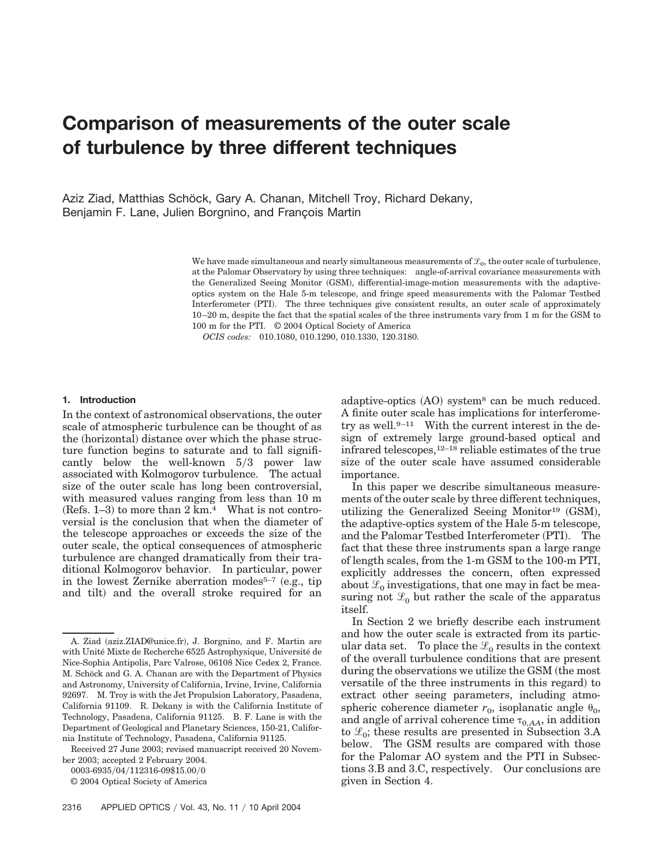# **Comparison of measurements of the outer scale of turbulence by three different techniques**

Aziz Ziad, Matthias Schöck, Gary A. Chanan, Mitchell Troy, Richard Dekany, Benjamin F. Lane, Julien Borgnino, and Francois Martin

> We have made simultaneous and nearly simultaneous measurements of  $\mathcal{L}_0$ , the outer scale of turbulence, at the Palomar Observatory by using three techniques: angle-of-arrival covariance measurements with the Generalized Seeing Monitor (GSM), differential-image-motion measurements with the adaptiveoptics system on the Hale 5-m telescope, and fringe speed measurements with the Palomar Testbed Interferometer (PTI). The three techniques give consistent results, an outer scale of approximately 10–20 m, despite the fact that the spatial scales of the three instruments vary from 1 m for the GSM to 100 m for the PTI. © 2004 Optical Society of America

*OCIS codes:* 010.1080, 010.1290, 010.1330, 120.3180.

#### **1. Introduction**

In the context of astronomical observations, the outer scale of atmospheric turbulence can be thought of as the (horizontal) distance over which the phase structure function begins to saturate and to fall significantly below the well-known  $5/3$  power law associated with Kolmogorov turbulence. The actual size of the outer scale has long been controversial, with measured values ranging from less than 10 m (Refs.  $1-3$ ) to more than  $2 \text{ km.}^4$  What is not controversial is the conclusion that when the diameter of the telescope approaches or exceeds the size of the outer scale, the optical consequences of atmospheric turbulence are changed dramatically from their traditional Kolmogorov behavior. In particular, power in the lowest Zernike aberration modes<sup>5–7</sup> (e.g., tip and tilt) and the overall stroke required for an

0003-6935/04/112316-09\$15.00/0

© 2004 Optical Society of America

adaptive-optics (AO) system<sup>8</sup> can be much reduced. A finite outer scale has implications for interferometry as well.<sup>9-11</sup> With the current interest in the design of extremely large ground-based optical and infrared telescopes,12–18 reliable estimates of the true size of the outer scale have assumed considerable importance.

In this paper we describe simultaneous measurements of the outer scale by three different techniques, utilizing the Generalized Seeing Monitor<sup>19</sup> (GSM), the adaptive-optics system of the Hale 5-m telescope, and the Palomar Testbed Interferometer (PTI). The fact that these three instruments span a large range of length scales, from the 1-m GSM to the 100-m PTI, explicitly addresses the concern, often expressed about  $\mathcal{L}_0$  investigations, that one may in fact be measuring not  $\mathcal{L}_0$  but rather the scale of the apparatus itself.

In Section 2 we briefly describe each instrument and how the outer scale is extracted from its particular data set. To place the  $\mathcal{L}_0$  results in the context of the overall turbulence conditions that are present during the observations we utilize the GSM (the most versatile of the three instruments in this regard) to extract other seeing parameters, including atmospheric coherence diameter  $r_0$ , isoplanatic angle  $\theta_0$ , and angle of arrival coherence time  $\tau_{0,AA}$ , in addition to  $\mathcal{L}_0$ ; these results are presented in Subsection 3.A below. The GSM results are compared with those for the Palomar AO system and the PTI in Subsections 3.B and 3.C, respectively. Our conclusions are given in Section 4.

A. Ziad (aziz.ZIAD@unice.fr), J. Borgnino, and F. Martin are with Unité Mixte de Recherche 6525 Astrophysique, Université de Nice-Sophia Antipolis, Parc Valrose, 06108 Nice Cedex 2, France. M. Schöck and G. A. Chanan are with the Department of Physics and Astronomy, University of California, Irvine, Irvine, California 92697. M. Troy is with the Jet Propulsion Laboratory, Pasadena, California 91109. R. Dekany is with the California Institute of Technology, Pasadena, California 91125. B. F. Lane is with the Department of Geological and Planetary Sciences, 150-21, California Institute of Technology, Pasadena, California 91125.

Received 27 June 2003; revised manuscript received 20 November 2003; accepted 2 February 2004.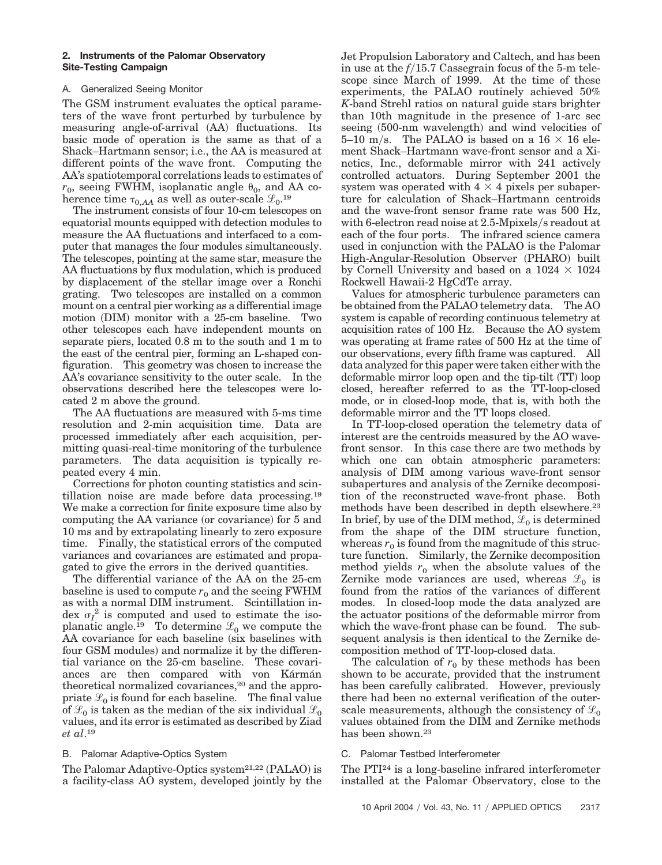## **2. Instruments of the Palomar Observatory Site-Testing Campaign**

# A. Generalized Seeing Monitor

The GSM instrument evaluates the optical parameters of the wave front perturbed by turbulence by measuring angle-of-arrival (AA) fluctuations. Its basic mode of operation is the same as that of a Shack–Hartmann sensor; i.e., the AA is measured at different points of the wave front. Computing the AA's spatiotemporal correlations leads to estimates of  $r_0$ , seeing FWHM, isoplanatic angle  $\theta_0$ , and AA coherence time  $\tau_{0,AA}$  as well as outer-scale  $\mathcal{L}_0$ <sup>19</sup>

The instrument consists of four 10-cm telescopes on equatorial mounts equipped with detection modules to measure the AA fluctuations and interfaced to a computer that manages the four modules simultaneously. The telescopes, pointing at the same star, measure the AA fluctuations by flux modulation, which is produced by displacement of the stellar image over a Ronchi grating. Two telescopes are installed on a common mount on a central pier working as a differential image motion (DIM) monitor with a 25-cm baseline. Two other telescopes each have independent mounts on separate piers, located 0.8 m to the south and 1 m to the east of the central pier, forming an L-shaped configuration. This geometry was chosen to increase the AA's covariance sensitivity to the outer scale. In the observations described here the telescopes were located 2 m above the ground.

The AA fluctuations are measured with 5-ms time resolution and 2-min acquisition time. Data are processed immediately after each acquisition, permitting quasi-real-time monitoring of the turbulence parameters. The data acquisition is typically repeated every 4 min.

Corrections for photon counting statistics and scintillation noise are made before data processing.19 We make a correction for finite exposure time also by computing the AA variance (or covariance) for 5 and 10 ms and by extrapolating linearly to zero exposure time. Finally, the statistical errors of the computed variances and covariances are estimated and propagated to give the errors in the derived quantities.

The differential variance of the AA on the 25-cm baseline is used to compute  $r_0$  and the seeing FWHM as with a normal DIM instrument. Scintillation index  $\sigma_I^2$  is computed and used to estimate the isoplanatic angle.<sup>19</sup> To determine  $\mathcal{L}_0$  we compute the AA covariance for each baseline (six baselines with four GSM modules) and normalize it by the differential variance on the 25-cm baseline. These covariances are then compared with von Kármán theoretical normalized covariances,<sup>20</sup> and the appropriate  $\mathcal{L}_0$  is found for each baseline. The final value of  $\mathcal{L}_0$  is taken as the median of the six individual  $\mathcal{L}_0$ values, and its error is estimated as described by Ziad *et al*.19

# B. Palomar Adaptive-Optics System

The Palomar Adaptive-Optics system<sup>21,22</sup> (PALAO) is a facility-class AO system, developed jointly by the Jet Propulsion Laboratory and Caltech, and has been in use at the  $f/15.7$  Cassegrain focus of the 5-m telescope since March of 1999. At the time of these experiments, the PALAO routinely achieved 50% *K*-band Strehl ratios on natural guide stars brighter than 10th magnitude in the presence of 1-arc sec seeing (500-nm wavelength) and wind velocities of 5–10 m/s. The PALAO is based on a  $16 \times 16$  element Shack–Hartmann wave-front sensor and a Xinetics, Inc., deformable mirror with 241 actively controlled actuators. During September 2001 the system was operated with  $4 \times 4$  pixels per subaperture for calculation of Shack–Hartmann centroids and the wave-front sensor frame rate was 500 Hz, with 6-electron read noise at  $2.5$ -Mpixels/s readout at each of the four ports. The infrared science camera used in conjunction with the PALAO is the Palomar High-Angular-Resolution Observer (PHARO) built by Cornell University and based on a  $1024 \times 1024$ Rockwell Hawaii-2 HgCdTe array.

Values for atmospheric turbulence parameters can be obtained from the PALAO telemetry data. The AO system is capable of recording continuous telemetry at acquisition rates of 100 Hz. Because the AO system was operating at frame rates of 500 Hz at the time of our observations, every fifth frame was captured. All data analyzed for this paper were taken either with the deformable mirror loop open and the tip-tilt (TT) loop closed, hereafter referred to as the TT-loop-closed mode, or in closed-loop mode, that is, with both the deformable mirror and the TT loops closed.

In TT-loop-closed operation the telemetry data of interest are the centroids measured by the AO wavefront sensor. In this case there are two methods by which one can obtain atmospheric parameters: analysis of DIM among various wave-front sensor subapertures and analysis of the Zernike decomposition of the reconstructed wave-front phase. Both methods have been described in depth elsewhere.<sup>23</sup> In brief, by use of the DIM method,  $\mathcal{L}_0$  is determined from the shape of the DIM structure function, whereas  $r_0$  is found from the magnitude of this structure function. Similarly, the Zernike decomposition method yields  $r_0$  when the absolute values of the Zernike mode variances are used, whereas  $\mathcal{L}_0$  is found from the ratios of the variances of different modes. In closed-loop mode the data analyzed are the actuator positions of the deformable mirror from which the wave-front phase can be found. The subsequent analysis is then identical to the Zernike decomposition method of TT-loop-closed data.

The calculation of  $r_0$  by these methods has been shown to be accurate, provided that the instrument has been carefully calibrated. However, previously there had been no external verification of the outerscale measurements, although the consistency of  $\mathcal{L}_0$ values obtained from the DIM and Zernike methods has been shown.<sup>23</sup>

# C. Palomar Testbed Interferometer

The PTI24 is a long-baseline infrared interferometer installed at the Palomar Observatory, close to the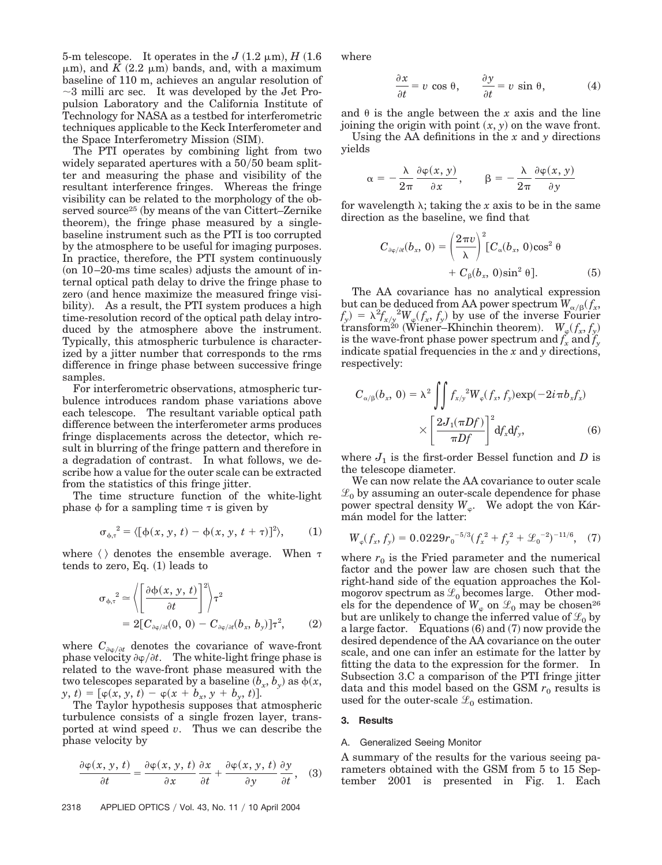5-m telescope. It operates in the  $J(1.2 \mu m)$ ,  $H(1.6 \mu m)$  $\mu$ m), and *K* (2.2  $\mu$ m) bands, and, with a maximum baseline of 110 m, achieves an angular resolution of  $\sim$ 3 milli arc sec. It was developed by the Jet Propulsion Laboratory and the California Institute of Technology for NASA as a testbed for interferometric techniques applicable to the Keck Interferometer and the Space Interferometry Mission (SIM).

The PTI operates by combining light from two widely separated apertures with a  $50/50$  beam splitter and measuring the phase and visibility of the resultant interference fringes. Whereas the fringe visibility can be related to the morphology of the observed source<sup>25</sup> (by means of the van Cittert–Zernike theorem), the fringe phase measured by a singlebaseline instrument such as the PTI is too corrupted by the atmosphere to be useful for imaging purposes. In practice, therefore, the PTI system continuously  $($ on 10–20-ms time scales $)$  adjusts the amount of internal optical path delay to drive the fringe phase to zero (and hence maximize the measured fringe visibility). As a result, the PTI system produces a high time-resolution record of the optical path delay introduced by the atmosphere above the instrument. Typically, this atmospheric turbulence is characterized by a jitter number that corresponds to the rms difference in fringe phase between successive fringe samples.

For interferometric observations, atmospheric turbulence introduces random phase variations above each telescope. The resultant variable optical path difference between the interferometer arms produces fringe displacements across the detector, which result in blurring of the fringe pattern and therefore in a degradation of contrast. In what follows, we describe how a value for the outer scale can be extracted from the statistics of this fringe jitter.

The time structure function of the white-light phase  $\phi$  for a sampling time  $\tau$  is given by

$$
\sigma_{\phi,\tau}^{2} = \langle [\phi(x, y, t) - \phi(x, y, t + \tau)]^{2} \rangle, \qquad (1)
$$

where  $\langle \rangle$  denotes the ensemble average. When  $\tau$  $tends$  to zero, Eq.  $(1)$  leads to

$$
\sigma_{\phi,\tau}^{2} \simeq \left\langle \left[ \frac{\partial \phi(x, y, t)}{\partial t} \right]^{2} \right\rangle \tau^{2}
$$
  
= 2[C <sub>$\partial \phi/\partial t$</sub> (0, 0) - C <sub>$\partial \phi/\partial t$</sub> (b<sub>x</sub>, b<sub>y</sub>)] $\tau^{2}$ , (2)

where  $C_{\partial \varphi/\partial t}$  denotes the covariance of wave-front phase velocity  $\partial \varphi / \partial t$ . The white-light fringe phase is related to the wave-front phase measured with the two telescopes separated by a baseline  $(b_x, b_y)$  as  $\phi(x,$  $y, t$  =  $[\varphi(x, y, t) - \varphi(x + b_x, y + b_y, t)].$ 

The Taylor hypothesis supposes that atmospheric turbulence consists of a single frozen layer, transported at wind speed *v*. Thus we can describe the phase velocity by

$$
\frac{\partial \varphi(x, y, t)}{\partial t} = \frac{\partial \varphi(x, y, t)}{\partial x} \frac{\partial x}{\partial t} + \frac{\partial \varphi(x, y, t)}{\partial y} \frac{\partial y}{\partial t}, \quad (3)
$$

where

$$
\frac{\partial x}{\partial t} = v \cos \theta, \qquad \frac{\partial y}{\partial t} = v \sin \theta, \tag{4}
$$

and  $\theta$  is the angle between the *x* axis and the line joining the origin with point  $(x, y)$  on the wave front.

Using the AA definitions in the *x* and *y* directions yields

$$
\alpha = -\frac{\lambda}{2\pi} \frac{\partial \varphi(x, y)}{\partial x}, \qquad \beta = -\frac{\lambda}{2\pi} \frac{\partial \varphi(x, y)}{\partial y}
$$

for wavelength  $\lambda$ ; taking the *x* axis to be in the same direction as the baseline, we find that

$$
C_{\partial\varphi/\partial t}(b_x, 0) = \left(\frac{2\pi v}{\lambda}\right)^2 [C_{\alpha}(b_x, 0)\cos^2\theta
$$
  
+  $C_{\beta}(b_x, 0)\sin^2\theta].$  (5)

The AA covariance has no analytical expression but can be deduced from AA power spectrum  $W_{\alpha/\beta}(f_x,$  $f_y$ ) =  $\lambda^2 f_{x/y}^2 W_{\varphi}(f_x, f_y)$  by use of the inverse Fourier transform<sup>20</sup> (Wiener–Khinchin theorem).  $W_{\varphi}(f_x, f_y)$ is the wave-front phase power spectrum and  $f_x$  and  $f_y$ indicate spatial frequencies in the *x* and *y* directions, respectively:

$$
C_{\alpha/\beta}(b_x, 0) = \lambda^2 \iint f_{x/y}^2 W_{\varphi}(f_x, f_y) \exp(-2i\pi b_x f_x)
$$

$$
\times \left[ \frac{2J_1(\pi Df)}{\pi Df} \right]^2 df_x df_y, \tag{6}
$$

where  $J_1$  is the first-order Bessel function and *D* is the telescope diameter.

We can now relate the AA covariance to outer scale  $\mathcal{L}_0$  by assuming an outer-scale dependence for phase power spectral density  $W_{\varphi}$ . We adopt the von Kármán model for the latter:

$$
W_{\varphi}(f_x, f_y) = 0.0229 r_0^{-5/3} (f_x^2 + f_y^2 + \mathcal{L}_0^{-2})^{-11/6}, \quad (7)
$$

where  $r_0$  is the Fried parameter and the numerical factor and the power law are chosen such that the right-hand side of the equation approaches the Kolmogorov spectrum as  $\mathcal{L}_0$  becomes large. Other models for the dependence of  $W_{\varphi}$  on  $\mathcal{L}_0$  may be chosen<sup>26</sup> but are unlikely to change the inferred value of  $\mathcal{L}_0$  by a large factor. Equations  $(6)$  and  $(7)$  now provide the desired dependence of the AA covariance on the outer scale, and one can infer an estimate for the latter by fitting the data to the expression for the former. In Subsection 3.C a comparison of the PTI fringe jitter data and this model based on the GSM  $r_0$  results is used for the outer-scale  $\mathcal{L}_0$  estimation.

#### **3. Results**

#### A. Generalized Seeing Monitor

A summary of the results for the various seeing parameters obtained with the GSM from 5 to 15 September 2001 is presented in Fig. 1. Each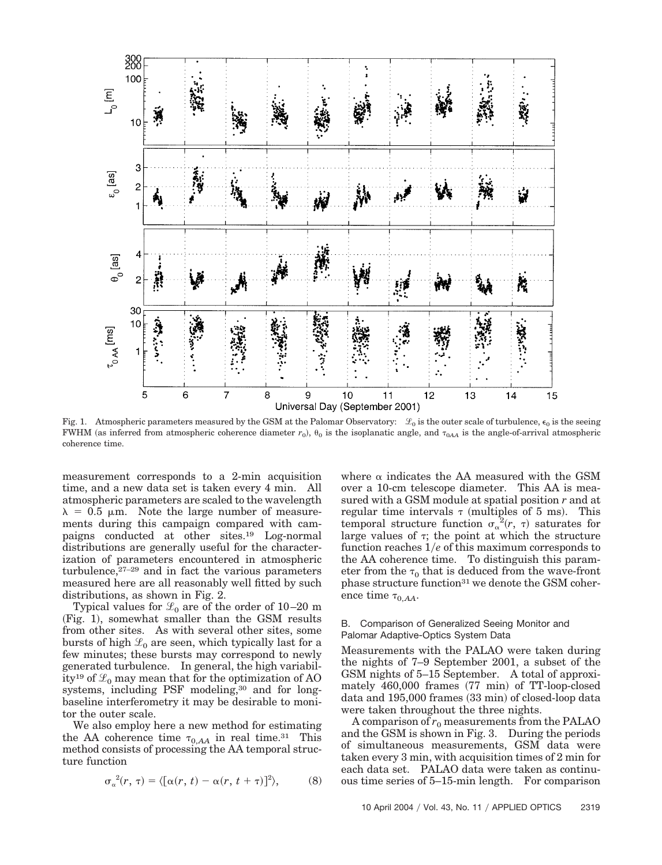

Fig. 1. Atmospheric parameters measured by the GSM at the Palomar Observatory:  $\mathcal{L}_0$  is the outer scale of turbulence,  $\epsilon_0$  is the seeing FWHM (as inferred from atmospheric coherence diameter  $r_0$ ),  $\theta_0$  is the isoplanatic angle, and  $\tau_{0AA}$  is the angle-of-arrival atmospheric coherence time.

measurement corresponds to a 2-min acquisition time, and a new data set is taken every 4 min. All atmospheric parameters are scaled to the wavelength  $\lambda = 0.5$  µm. Note the large number of measurements during this campaign compared with campaigns conducted at other sites.19 Log-normal distributions are generally useful for the characterization of parameters encountered in atmospheric turbulence,27–29 and in fact the various parameters measured here are all reasonably well fitted by such distributions, as shown in Fig. 2.

Typical values for  $\mathcal{L}_0$  are of the order of 10–20 m (Fig. 1), somewhat smaller than the GSM results from other sites. As with several other sites, some bursts of high  $\mathcal{L}_0$  are seen, which typically last for a few minutes; these bursts may correspond to newly generated turbulence. In general, the high variability<sup>19</sup> of  $\mathcal{L}_0$  may mean that for the optimization of AO systems, including PSF modeling,<sup>30</sup> and for longbaseline interferometry it may be desirable to monitor the outer scale.

We also employ here a new method for estimating the AA coherence time  $\tau_{0,AA}$  in real time.<sup>31</sup> This method consists of processing the AA temporal structure function

$$
\sigma_{\alpha}^{2}(r,\tau) = \langle [\alpha(r,\,t) - \alpha(r,\,t + \tau)]^{2} \rangle, \tag{8}
$$

where  $\alpha$  indicates the AA measured with the GSM over a 10-cm telescope diameter. This AA is measured with a GSM module at spatial position *r* and at regular time intervals  $\tau$  (multiples of 5 ms). This temporal structure function  $\sigma_{\alpha}^{2}(r, \tau)$  saturates for large values of  $\tau$ ; the point at which the structure function reaches 1*e* of this maximum corresponds to the AA coherence time. To distinguish this parameter from the  $\tau_0$  that is deduced from the wave-front phase structure function<sup>31</sup> we denote the GSM coherence time  $\tau_{0,AA}$ .

## B. Comparison of Generalized Seeing Monitor and Palomar Adaptive-Optics System Data

Measurements with the PALAO were taken during the nights of 7–9 September 2001, a subset of the GSM nights of 5–15 September. A total of approximately  $460,000$  frames  $(77 \text{ min})$  of TT-loop-closed data and 195,000 frames (33 min) of closed-loop data were taken throughout the three nights.

A comparison of  $r_0$  measurements from the PALAO and the GSM is shown in Fig. 3. During the periods of simultaneous measurements, GSM data were taken every 3 min, with acquisition times of 2 min for each data set. PALAO data were taken as continuous time series of 5–15-min length. For comparison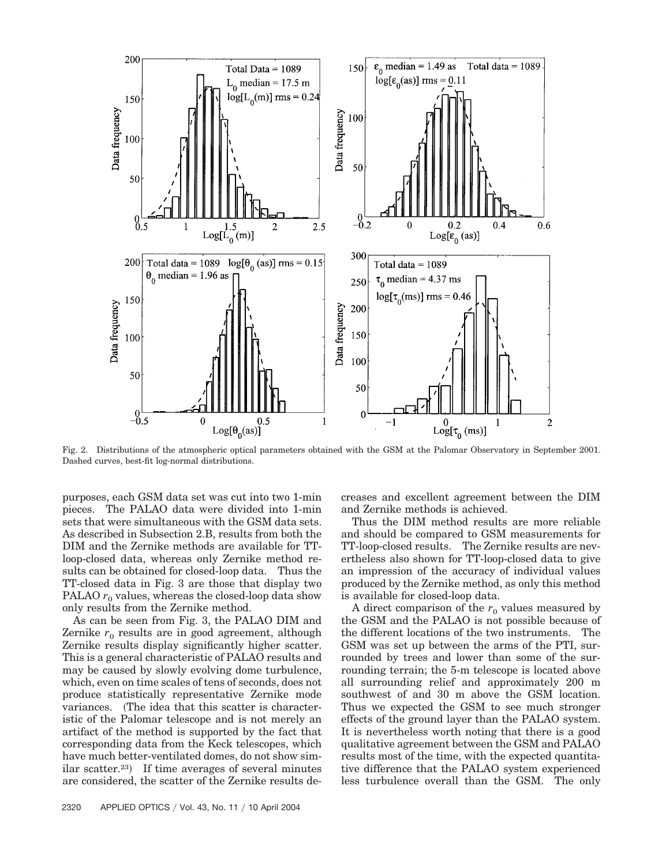

Fig. 2. Distributions of the atmospheric optical parameters obtained with the GSM at the Palomar Observatory in September 2001. Dashed curves, best-fit log-normal distributions.

purposes, each GSM data set was cut into two 1-min pieces. The PALAO data were divided into 1-min sets that were simultaneous with the GSM data sets. As described in Subsection 2.B, results from both the DIM and the Zernike methods are available for TTloop-closed data, whereas only Zernike method results can be obtained for closed-loop data. Thus the TT-closed data in Fig. 3 are those that display two PALAO  $r_0$  values, whereas the closed-loop data show only results from the Zernike method.

As can be seen from Fig. 3, the PALAO DIM and Zernike  $r_0$  results are in good agreement, although Zernike results display significantly higher scatter. This is a general characteristic of PALAO results and may be caused by slowly evolving dome turbulence, which, even on time scales of tens of seconds, does not produce statistically representative Zernike mode variances. (The idea that this scatter is characteristic of the Palomar telescope and is not merely an artifact of the method is supported by the fact that corresponding data from the Keck telescopes, which have much better-ventilated domes, do not show similar scatter.<sup>23</sup>) If time averages of several minutes are considered, the scatter of the Zernike results decreases and excellent agreement between the DIM and Zernike methods is achieved.

Thus the DIM method results are more reliable and should be compared to GSM measurements for TT-loop-closed results. The Zernike results are nevertheless also shown for TT-loop-closed data to give an impression of the accuracy of individual values produced by the Zernike method, as only this method is available for closed-loop data.

A direct comparison of the  $r_0$  values measured by the GSM and the PALAO is not possible because of the different locations of the two instruments. The GSM was set up between the arms of the PTI, surrounded by trees and lower than some of the surrounding terrain; the 5-m telescope is located above all surrounding relief and approximately 200 m southwest of and 30 m above the GSM location. Thus we expected the GSM to see much stronger effects of the ground layer than the PALAO system. It is nevertheless worth noting that there is a good qualitative agreement between the GSM and PALAO results most of the time, with the expected quantitative difference that the PALAO system experienced less turbulence overall than the GSM. The only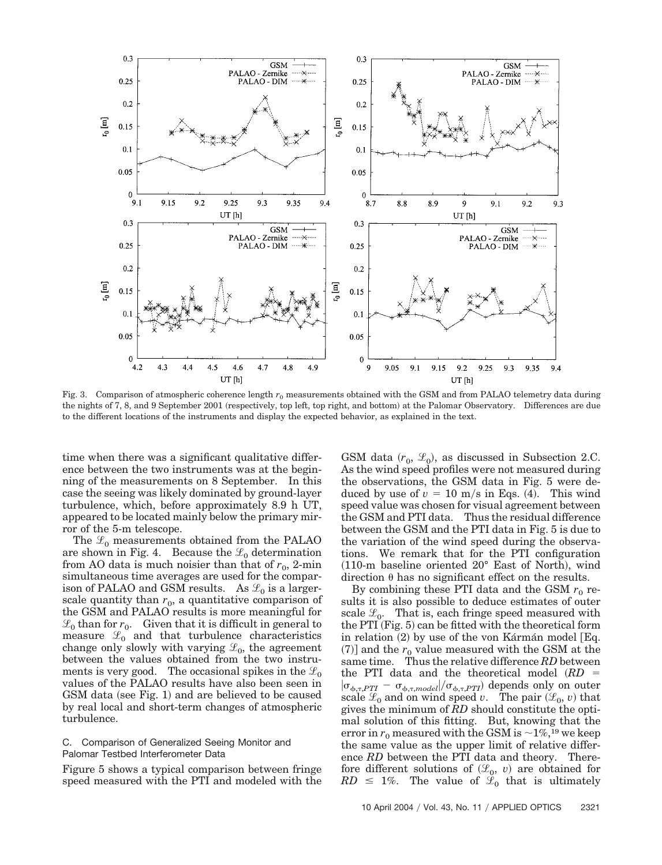

Fig. 3. Comparison of atmospheric coherence length  $r_0$  measurements obtained with the GSM and from PALAO telemetry data during the nights of 7, 8, and 9 September 2001 (respectively, top left, top right, and bottom) at the Palomar Observatory. Differences are due to the different locations of the instruments and display the expected behavior, as explained in the text.

time when there was a significant qualitative difference between the two instruments was at the beginning of the measurements on 8 September. In this case the seeing was likely dominated by ground-layer turbulence, which, before approximately 8.9 h UT, appeared to be located mainly below the primary mirror of the 5-m telescope.

The  $\mathcal{L}_0$  measurements obtained from the PALAO are shown in Fig. 4. Because the  $\mathcal{L}_0$  determination from AO data is much noisier than that of  $r_0$ , 2-min simultaneous time averages are used for the comparison of PALAO and GSM results. As  $\mathcal{L}_0$  is a largerscale quantity than  $r_0$ , a quantitative comparison of the GSM and PALAO results is more meaningful for  $\mathcal{L}_0$  than for  $r_0$ . Given that it is difficult in general to measure  $\mathcal{L}_0$  and that turbulence characteristics change only slowly with varying  $\mathcal{L}_0$ , the agreement between the values obtained from the two instruments is very good. The occasional spikes in the  $\mathcal{L}_0$ values of the PALAO results have also been seen in GSM data (see Fig. 1) and are believed to be caused by real local and short-term changes of atmospheric turbulence.

## C. Comparison of Generalized Seeing Monitor and Palomar Testbed Interferometer Data

Figure 5 shows a typical comparison between fringe speed measured with the PTI and modeled with the

GSM data  $(r_0, \mathcal{L}_0)$ , as discussed in Subsection 2.C. As the wind speed profiles were not measured during the observations, the GSM data in Fig. 5 were deduced by use of  $v = 10$  m/s in Eqs. (4). This wind speed value was chosen for visual agreement between the GSM and PTI data. Thus the residual difference between the GSM and the PTI data in Fig. 5 is due to the variation of the wind speed during the observations. We remark that for the PTI configuration  $(110\text{-m}$  baseline oriented  $20^{\circ}$  East of North), wind direction  $\theta$  has no significant effect on the results.

By combining these PTI data and the GSM  $r_0$  results it is also possible to deduce estimates of outer scale  $\mathcal{L}_0$ . That is, each fringe speed measured with the PTI (Fig. 5) can be fitted with the theoretical form in relation (2) by use of the von Kármán model [Eq.  $(7)$ ] and the  $r_0$  value measured with the GSM at the same time. Thus the relative difference *RD* between the PTI data and the theoretical model *RD*  $|\sigma_{\phi,\tau,PTI} - \sigma_{\phi,\tau,model}|/\sigma_{\phi,\tau,PTI})$  depends only on outer scale  $\mathcal{L}_0$  and on wind speed *v*. The pair  $(\mathcal{L}_0, v)$  that gives the minimum of *RD* should constitute the optimal solution of this fitting. But, knowing that the error in  $r_0$  measured with the GSM is  $\sim$ 1%,<sup>19</sup> we keep the same value as the upper limit of relative difference *RD* between the PTI data and theory. Therefore different solutions of  $(\mathcal{L}_0, v)$  are obtained for  $RD \leq 1\%$ . The value of  $\mathscr{L}_0$  that is ultimately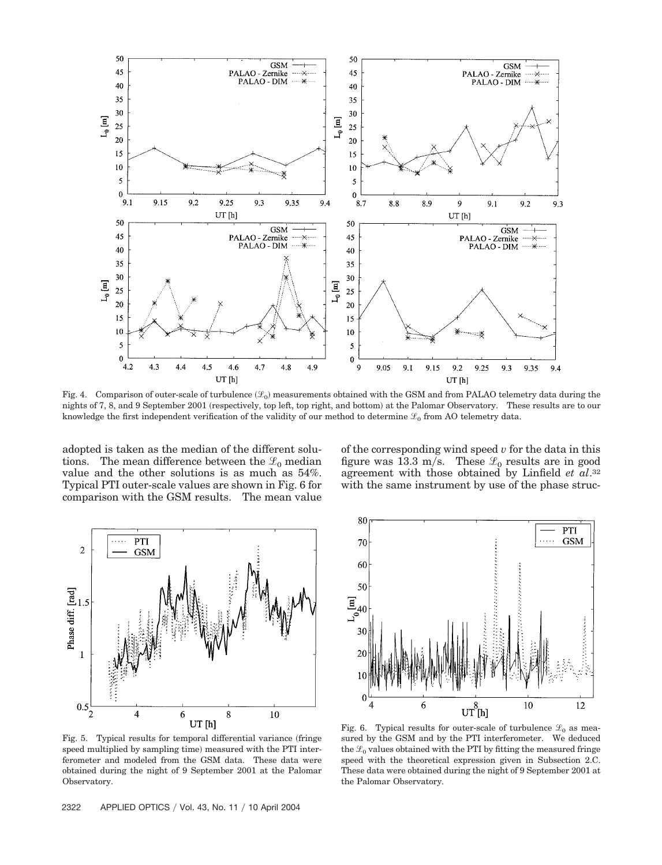

Fig. 4. Comparison of outer-scale of turbulence  $(\mathscr{L}_0)$  measurements obtained with the GSM and from PALAO telemetry data during the nights of 7, 8, and 9 September 2001 (respectively, top left, top right, and bottom) at the Palomar Observatory. These results are to our knowledge the first independent verification of the validity of our method to determine  $\mathcal{L}_0$  from AO telemetry data.

adopted is taken as the median of the different solutions. The mean difference between the  $\mathcal{L}_0$  median value and the other solutions is as much as 54%. Typical PTI outer-scale values are shown in Fig. 6 for comparison with the GSM results. The mean value

of the corresponding wind speed *v* for the data in this figure was 13.3 m/s. These  $\mathcal{L}_0$  results are in good agreement with those obtained by Linfield *et al*.32 with the same instrument by use of the phase struc-



Fig. 5. Typical results for temporal differential variance fringe speed multiplied by sampling time) measured with the PTI interferometer and modeled from the GSM data. These data were obtained during the night of 9 September 2001 at the Palomar Observatory.



Fig. 6. Typical results for outer-scale of turbulence  $\mathcal{L}_0$  as measured by the GSM and by the PTI interferometer. We deduced the  $\mathcal{L}_0$  values obtained with the PTI by fitting the measured fringe speed with the theoretical expression given in Subsection 2.C. These data were obtained during the night of 9 September 2001 at the Palomar Observatory.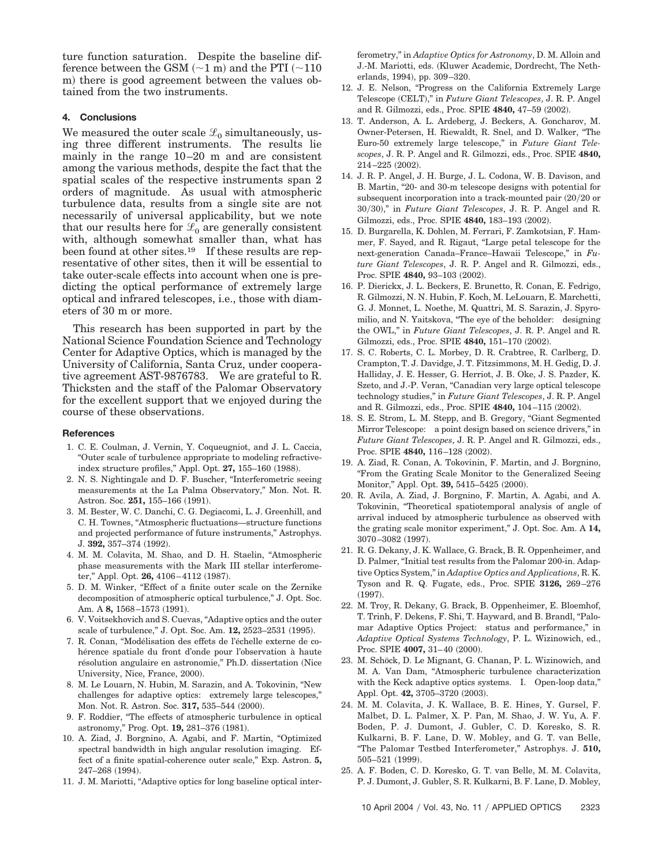ture function saturation. Despite the baseline difference between the GSM  $(\sim]1\text{ m})$  and the PTI  $(\sim]110$ m) there is good agreement between the values obtained from the two instruments.

# **4. Conclusions**

We measured the outer scale  $\mathcal{L}_0$  simultaneously, using three different instruments. The results lie mainly in the range 10–20 m and are consistent among the various methods, despite the fact that the spatial scales of the respective instruments span 2 orders of magnitude. As usual with atmospheric turbulence data, results from a single site are not necessarily of universal applicability, but we note that our results here for  $\mathcal{L}_0$  are generally consistent with, although somewhat smaller than, what has been found at other sites.<sup>19</sup> If these results are representative of other sites, then it will be essential to take outer-scale effects into account when one is predicting the optical performance of extremely large optical and infrared telescopes, i.e., those with diameters of 30 m or more.

This research has been supported in part by the National Science Foundation Science and Technology Center for Adaptive Optics, which is managed by the University of California, Santa Cruz, under cooperative agreement AST-9876783. We are grateful to R. Thicksten and the staff of the Palomar Observatory for the excellent support that we enjoyed during the course of these observations.

#### **References**

- 1. C. E. Coulman, J. Vernin, Y. Coqueugniot, and J. L. Caccia, "Outer scale of turbulence appropriate to modeling refractiveindex structure profiles," Appl. Opt. **27,** 155–160 (1988).
- 2. N. S. Nightingale and D. F. Buscher, "Interferometric seeing measurements at the La Palma Observatory," Mon. Not. R. Astron. Soc. **251,** 155–166 (1991).
- 3. M. Bester, W. C. Danchi, C. G. Degiacomi, L. J. Greenhill, and C. H. Townes, "Atmospheric fluctuations—structure functions and projected performance of future instruments," Astrophys. J. **392,** 357–374 (1992).
- 4. M. M. Colavita, M. Shao, and D. H. Staelin, "Atmospheric phase measurements with the Mark III stellar interferometer," Appl. Opt. **26,** 4106–4112 (1987).
- 5. D. M. Winker, "Effect of a finite outer scale on the Zernike decomposition of atmospheric optical turbulence," J. Opt. Soc. Am. A **8,** 1568–1573 (1991).
- 6. V. Voitsekhovich and S. Cuevas, "Adaptive optics and the outer scale of turbulence," J. Opt. Soc. Am. **12,** 2523–2531 (1995).
- 7. R. Conan, "Modélisation des effets de l'échelle externe de cohérence spatiale du front d'onde pour l'observation à haute résolution angulaire en astronomie," Ph.D. dissertation (Nice University, Nice, France, 2000).
- 8. M. Le Louarn, N. Hubin, M. Sarazin, and A. Tokovinin, "New challenges for adaptive optics: extremely large telescopes," Mon. Not. R. Astron. Soc. **317,** 535–544 (2000).
- 9. F. Roddier, "The effects of atmospheric turbulence in optical astronomy," Prog. Opt. **19,** 281–376 (1981).
- 10. A. Ziad, J. Borgnino, A. Agabi, and F. Martin, "Optimized spectral bandwidth in high angular resolution imaging. Effect of a finite spatial-coherence outer scale," Exp. Astron. **5,** 247–268 (1994).
- 11. J. M. Mariotti, "Adaptive optics for long baseline optical inter-

ferometry," in *Adaptive Optics for Astronomy*, D. M. Alloin and J.-M. Mariotti, eds. Kluwer Academic, Dordrecht, The Netherlands, 1994), pp. 309–320.

- 12. J. E. Nelson, "Progress on the California Extremely Large Telescope (CELT)," in *Future Giant Telescopes*, J. R. P. Angel and R. Gilmozzi, eds., Proc. SPIE **4840,** 47–59 (2002).
- 13. T. Anderson, A. L. Ardeberg, J. Beckers, A. Goncharov, M. Owner-Petersen, H. Riewaldt, R. Snel, and D. Walker, "The Euro-50 extremely large telescope," in *Future Giant Telescopes*, J. R. P. Angel and R. Gilmozzi, eds., Proc. SPIE **4840,**  $214 - 225$   $(2002)$ .
- 14. J. R. P. Angel, J. H. Burge, J. L. Codona, W. B. Davison, and B. Martin, "20- and 30-m telescope designs with potential for subsequent incorporation into a track-mounted pair  $(20/20$  or 30/30)," in *Future Giant Telescopes*, J. R. P. Angel and R. Gilmozzi, eds., Proc. SPIE **4840,** 183–193 (2002).
- 15. D. Burgarella, K. Dohlen, M. Ferrari, F. Zamkotsian, F. Hammer, F. Sayed, and R. Rigaut, "Large petal telescope for the next-generation Canada–France–Hawaii Telescope," in *Future Giant Telescopes*, J. R. P. Angel and R. Gilmozzi, eds., Proc. SPIE 4840, 93-103 (2002).
- 16. P. Dierickx, J. L. Beckers, E. Brunetto, R. Conan, E. Fedrigo, R. Gilmozzi, N. N. Hubin, F. Koch, M. LeLouarn, E. Marchetti, G. J. Monnet, L. Noethe, M. Quattri, M. S. Sarazin, J. Spyromilio, and N. Yaitskova, "The eye of the beholder: designing the OWL," in *Future Giant Telescopes*, J. R. P. Angel and R. Gilmozzi, eds., Proc. SPIE **4840,** 151–170 (2002).
- 17. S. C. Roberts, C. L. Morbey, D. R. Crabtree, R. Carlberg, D. Crampton, T. J. Davidge, J. T. Fitzsimmons, M. H. Gedig, D. J. Halliday, J. E. Hesser, G. Herriot, J. B. Oke, J. S. Pazder, K. Szeto, and J.-P. Veran, "Canadian very large optical telescope technology studies," in *Future Giant Telescopes*, J. R. P. Angel and R. Gilmozzi, eds., Proc. SPIE **4840,** 104–115 (2002).
- 18. S. E. Strom, L. M. Stepp, and B. Gregory, "Giant Segmented Mirror Telescope: a point design based on science drivers," in *Future Giant Telescopes*, J. R. P. Angel and R. Gilmozzi, eds., Proc. SPIE 4840, 116-128 (2002).
- 19. A. Ziad, R. Conan, A. Tokovinin, F. Martin, and J. Borgnino, "From the Grating Scale Monitor to the Generalized Seeing Monitor," Appl. Opt. **39,** 5415–5425 (2000).
- 20. R. Avila, A. Ziad, J. Borgnino, F. Martin, A. Agabi, and A. Tokovinin, "Theoretical spatiotemporal analysis of angle of arrival induced by atmospheric turbulence as observed with the grating scale monitor experiment," J. Opt. Soc. Am. A **14,** 3070-3082 (1997).
- 21. R. G. Dekany, J. K. Wallace, G. Brack, B. R. Oppenheimer, and D. Palmer, "Initial test results from the Palomar 200-in. Adaptive Optics System," in *Adaptive Optics and Applications*, R. K. Tyson and R. Q. Fugate, eds., Proc. SPIE **3126,** 269–276  $(1997).$
- 22. M. Troy, R. Dekany, G. Brack, B. Oppenheimer, E. Bloemhof, T. Trinh, F. Dekens, F. Shi, T. Hayward, and B. Brandl, "Palomar Adaptive Optics Project: status and performance," in *Adaptive Optical Systems Technology*, P. L. Wizinowich, ed., Proc. SPIE **4007,** 31–40 (2000).
- 23. M. Schöck, D. Le Mignant, G. Chanan, P. L. Wizinowich, and M. A. Van Dam, "Atmospheric turbulence characterization with the Keck adaptive optics systems. I. Open-loop data," Appl. Opt. **42,** 3705–3720 (2003).
- 24. M. M. Colavita, J. K. Wallace, B. E. Hines, Y. Gursel, F. Malbet, D. L. Palmer, X. P. Pan, M. Shao, J. W. Yu, A. F. Boden, P. J. Dumont, J. Gubler, C. D. Koresko, S. R. Kulkarni, B. F. Lane, D. W. Mobley, and G. T. van Belle, "The Palomar Testbed Interferometer," Astrophys. J. **510,** 505–521 (1999).
- 25. A. F. Boden, C. D. Koresko, G. T. van Belle, M. M. Colavita, P. J. Dumont, J. Gubler, S. R. Kulkarni, B. F. Lane, D. Mobley,